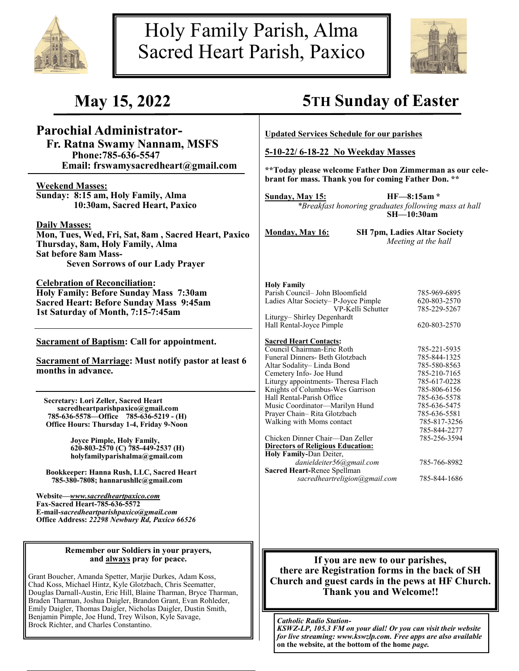



# **Parochial Administrator-**

 **Fr. Ratna Swamy Nannam, MSFS Phone:785-636-5547 Email: frswamysacredheart@gmail.com**

**Weekend Masses: Sunday: 8:15 am, Holy Family, Alma 10:30am, Sacred Heart, Paxico**

**Daily Masses:**

**Mon, Tues, Wed, Fri, Sat, 8am , Sacred Heart, Paxico Thursday, 8am, Holy Family, Alma Sat before 8am Mass-Seven Sorrows of our Lady Prayer**

**Celebration of Reconciliation: Holy Family: Before Sunday Mass 7:30am Sacred Heart: Before Sunday Mass 9:45am 1st Saturday of Month, 7:15-7:45am** 

**Sacrament of Baptism: Call for appointment.**

**Sacrament of Marriage: Must notify pastor at least 6 months in advance.**

 **Secretary: Lori Zeller, Sacred Heart sacredheartparishpaxico@gmail.com 785-636-5578—Office 785-636-5219 - (H) Office Hours: Thursday 1-4, Friday 9-Noon**

> **Joyce Pimple, Holy Family, 620-803-2570 (C) 785-449-2537 (H) holyfamilyparishalma@gmail.com**

 **Bookkeeper: Hanna Rush, LLC, Sacred Heart 785-380-7808; hannarushllc@gmail.com**

**Website—***www.sacredheartpaxico.com* **Fax-Sacred Heart-785-636-5572 E-mail-***sacredheartparishpaxico@gmail.com* **Office Address:** *22298 Newbury Rd, Paxico 66526*

#### **Remember our Soldiers in your prayers, and always pray for peace.**

Grant Boucher, Amanda Spetter, Marjie Durkes, Adam Koss, Chad Koss, Michael Hintz, Kyle Glotzbach, Chris Seematter, Douglas Darnall-Austin, Eric Hill, Blaine Tharman, Bryce Tharman, Braden Tharman, Joshua Daigler, Brandon Grant, Evan Rohleder, Emily Daigler, Thomas Daigler, Nicholas Daigler, Dustin Smith, Benjamin Pimple, Joe Hund, Trey Wilson, Kyle Savage, Brock Richter, and Charles Constantino.<br>Brock Richter, and Charles Constantino.

# **May 15, 2022 5TH Sunday of Easter**

**Updated Services Schedule for our parishes**

**5-10-22/ 6-18-22 No Weekday Masses**

**\*\*Today please welcome Father Don Zimmerman as our celebrant for mass. Thank you for coming Father Don. \*\***

**Sunday, May 15: HF—8:15am \*** *\*Breakfast honoring graduates following mass at hall* **SH—10:30am**

**Monday, May 16: SH 7pm, Ladies Altar Society** *Meeting at the hall*

| <b>Holy Family</b>                  |              |
|-------------------------------------|--------------|
| Parish Council- John Bloomfield     | 785-969-6895 |
| Ladies Altar Society-P-Joyce Pimple | 620-803-2570 |
| VP-Kelli Schutter                   | 785-229-5267 |
| Liturgy-Shirley Degenhardt          |              |
| Hall Rental-Joyce Pimple            | 620-803-2570 |
| Sacred Heart Contacts               |              |

| 785-221-5935 |
|--------------|
| 785-844-1325 |
| 785-580-8563 |
| 785-210-7165 |
| 785-617-0228 |
| 785-806-6156 |
| 785-636-5578 |
| 785-636-5475 |
| 785-636-5581 |
| 785-817-3256 |
| 785-844-2277 |
| 785-256-3594 |
|              |
|              |
| 785-766-8982 |
|              |
| 785-844-1686 |
|              |

### **If you are new to our parishes, there are Registration forms in the back of SH Church and guest cards in the pews at HF Church. Thank you and Welcome!!**

*KSWZ-LP, 105.3 FM on your dial! Or you can visit their website for live streaming: www.kswzlp.com. Free apps are also available*  **on the website, at the bottom of the home** *page.*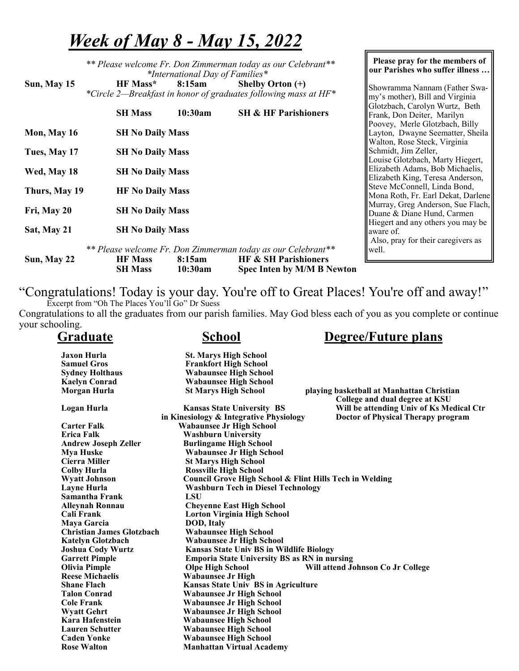# *Week of May 8 - May 15, 2022*

| Sun, May 15   | ** Please welcome Fr. Don Zimmerman today as our Celebrant**<br>*International Day of Families*<br>HF Mass*<br>8:15am<br>Shelby Orton $(+)$<br>*Circle 2-Breakfast in honor of graduates following mass at HF*<br><b>SH &amp; HF Parishioners</b><br><b>SH Mass</b><br>10:30am | Please pray for the members of<br>our Parishes who suffer illness<br>Showramma Nannam (Father Swa-<br>my's mother), Bill and Virginia<br>Glotzbach, Carolyn Wurtz, Beth<br>Frank, Don Deiter, Marilyn |
|---------------|--------------------------------------------------------------------------------------------------------------------------------------------------------------------------------------------------------------------------------------------------------------------------------|-------------------------------------------------------------------------------------------------------------------------------------------------------------------------------------------------------|
| Mon, May 16   | <b>SH No Daily Mass</b>                                                                                                                                                                                                                                                        | Poovey, Merle Glotzbach, Billy<br>Layton, Dwayne Seematter, Sheila                                                                                                                                    |
| Tues, May 17  | <b>SH No Daily Mass</b>                                                                                                                                                                                                                                                        | Walton, Rose Steck, Virginia<br>Schmidt, Jim Zeller,                                                                                                                                                  |
| Wed, May 18   | <b>SH No Daily Mass</b>                                                                                                                                                                                                                                                        | Louise Glotzbach, Marty Hiegert,<br>Elizabeth Adams, Bob Michaelis,<br>Elizabeth King, Teresa Anderson,                                                                                               |
| Thurs, May 19 | <b>HF No Daily Mass</b>                                                                                                                                                                                                                                                        | Steve McConnell, Linda Bond,<br>Mona Roth, Fr. Earl Dekat, Darlene                                                                                                                                    |
| Fri, May 20   | <b>SH No Daily Mass</b>                                                                                                                                                                                                                                                        | Murray, Greg Anderson, Sue Flach,<br>Duane & Diane Hund, Carmen                                                                                                                                       |
| Sat, May 21   | <b>SH No Daily Mass</b>                                                                                                                                                                                                                                                        | Hiegert and any others you may be<br>aware of.                                                                                                                                                        |
| Sun, May 22   | ** Please welcome Fr. Don Zimmerman today as our Celebrant**<br><b>HF &amp; SH Parishioners</b><br>8:15am<br><b>HF Mass</b><br><b>SH Mass</b><br>10:30am<br><b>Spec Inten by M/M B Newton</b>                                                                                  | Also, pray for their caregivers as<br>well.                                                                                                                                                           |

"Congratulations! Today is your day. You're off to Great Places! You're off and away!"

 Excerpt from "Oh The Places You'll Go" Dr Suess Congratulations to all the graduates from our parish families. May God bless each of you as you complete or continue your schooling.

| <b>Graduate</b>                  | <b>School</b>                                           | <b>Degree/Future plans</b>                                                  |
|----------------------------------|---------------------------------------------------------|-----------------------------------------------------------------------------|
| <b>Jaxon Hurla</b>               | <b>St. Marys High School</b>                            |                                                                             |
| <b>Samuel Gros</b>               | <b>Frankfort High School</b>                            |                                                                             |
| <b>Sydney Holthaus</b>           | <b>Wabaunsee High School</b>                            |                                                                             |
| <b>Kaelyn Conrad</b>             | <b>Wabaunsee High School</b>                            |                                                                             |
| Morgan Hurla                     | <b>St Marys High School</b>                             | playing basketball at Manhattan Christian<br>College and dual degree at KSU |
| Logan Hurla                      | <b>Kansas State University BS</b>                       | Will be attending Univ of Ks Medical Ctr                                    |
|                                  | in Kinesiology & Integrative Physiology                 | Doctor of Physical Therapy program                                          |
| <b>Carter Falk</b>               | <b>Wabaunsee Jr High School</b>                         |                                                                             |
| <b>Erica Falk</b>                | <b>Washburn University</b>                              |                                                                             |
| <b>Andrew Joseph Zeller</b>      | <b>Burlingame High School</b>                           |                                                                             |
| <b>Mya Huske</b>                 | <b>Wabaunsee Jr High School</b>                         |                                                                             |
| Cierra Miller                    | <b>St Marys High School</b>                             |                                                                             |
| <b>Colby Hurla</b>               | <b>Rossville High School</b>                            |                                                                             |
| <b>Wyatt Johnson</b>             | Council Grove High School & Flint Hills Tech in Welding |                                                                             |
| <b>Layne Hurla</b>               | <b>Washburn Tech in Diesel Technology</b>               |                                                                             |
| <b>Samantha Frank</b>            | <b>LSU</b>                                              |                                                                             |
| <b>Alleynah Ronnau</b>           | <b>Cheyenne East High School</b>                        |                                                                             |
| Cali Frank                       | <b>Lorton Virginia High School</b>                      |                                                                             |
| Maya Garcia                      | <b>DOD, Italy</b>                                       |                                                                             |
| <b>Christian James Glotzbach</b> | <b>Wabaunsee High School</b>                            |                                                                             |
| <b>Katelyn Glotzbach</b>         | <b>Wabaunsee Jr High School</b>                         |                                                                             |
| <b>Joshua Cody Wurtz</b>         | <b>Kansas State Univ BS in Wildlife Biology</b>         |                                                                             |
| <b>Garrett Pimple</b>            | <b>Emporia State University BS as RN in nursing</b>     |                                                                             |
| <b>Olivia Pimple</b>             | <b>Olpe High School</b>                                 | Will attend Johnson Co Jr College                                           |
| <b>Reese Michaelis</b>           | <b>Wabaunsee Jr High</b>                                |                                                                             |
| <b>Shane Flach</b>               | <b>Kansas State Univ BS in Agriculture</b>              |                                                                             |
| <b>Talon Conrad</b>              | <b>Wabaunsee Jr High School</b>                         |                                                                             |
| <b>Cole Frank</b>                | <b>Wabaunsee Jr High School</b>                         |                                                                             |
| <b>Wyatt Gehrt</b>               | <b>Wabaunsee Jr High School</b>                         |                                                                             |
| Kara Hafenstein                  | <b>Wabaunsee High School</b>                            |                                                                             |
| <b>Lauren Schutter</b>           | <b>Wabaunsee High School</b>                            |                                                                             |
| <b>Caden Yonke</b>               | <b>Wabaunsee High School</b>                            |                                                                             |
| <b>Rose Walton</b>               | <b>Manhattan Virtual Academy</b>                        |                                                                             |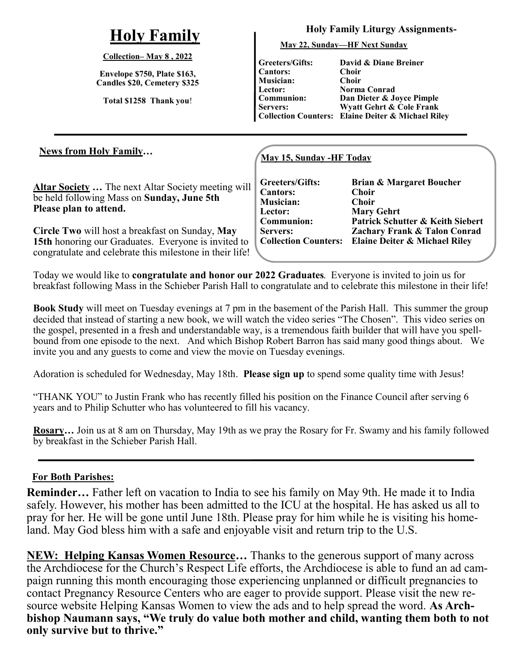# **Holy Family**

### **Collection– May 8 , 2022**

**Envelope \$750, Plate \$163, Candles \$20, Cemetery \$325**

**Total \$1258 Thank you**!

### **Holy Family Liturgy Assignments-**

**May 22, Sunday—HF Next Sunday**

**Greeters/Gifts: Cantors: Musician: Lector: Communion: Servers:**

**Collection Counters: Elaine Deiter & Michael Riley David & Diane Breiner Choir Choir Norma Conrad Dan Dieter & Joyce Pimple Wyatt Gehrt & Cole Frank** 

### **May 15, Sunday -HF Today**

**Altar Society …** The next Altar Society meeting will be held following Mass on **Sunday, June 5th Please plan to attend.**

**News from Holy Family…**

**Circle Two** will host a breakfast on Sunday, **May 15th** honoring our Graduates. Everyone is invited to congratulate and celebrate this milestone in their life! **Greeters/Gifts: Cantors: Musician: Lector: Communion: Servers: Collection Counters:**

**Brian & Margaret Boucher Choir Choir Mary Gehrt Patrick Schutter & Keith Siebert Zachary Frank & Talon Conrad Elaine Deiter & Michael Riley**

Today we would like to **congratulate and honor our 2022 Graduates**. Everyone is invited to join us for breakfast following Mass in the Schieber Parish Hall to congratulate and to celebrate this milestone in their life!

**Book Study** will meet on Tuesday evenings at 7 pm in the basement of the Parish Hall. This summer the group decided that instead of starting a new book, we will watch the video series "The Chosen". This video series on the gospel, presented in a fresh and understandable way, is a tremendous faith builder that will have you spellbound from one episode to the next. And which Bishop Robert Barron has said many good things about. We invite you and any guests to come and view the movie on Tuesday evenings.

Adoration is scheduled for Wednesday, May 18th. **Please sign up** to spend some quality time with Jesus!

"THANK YOU" to Justin Frank who has recently filled his position on the Finance Council after serving 6 years and to Philip Schutter who has volunteered to fill his vacancy.

**Rosary…** Join us at 8 am on Thursday, May 19th as we pray the Rosary for Fr. Swamy and his family followed by breakfast in the Schieber Parish Hall.

# **For Both Parishes:**

**Reminder…** Father left on vacation to India to see his family on May 9th. He made it to India safely. However, his mother has been admitted to the ICU at the hospital. He has asked us all to pray for her. He will be gone until June 18th. Please pray for him while he is visiting his homeland. May God bless him with a safe and enjoyable visit and return trip to the U.S.

**NEW: Helping Kansas Women Resource...** Thanks to the generous support of many across the Archdiocese for the Church's Respect Life efforts, the Archdiocese is able to fund an ad campaign running this month encouraging those experiencing unplanned or difficult pregnancies to contact Pregnancy Resource Centers who are eager to provide support. Please visit the new resource website Helping Kansas Women to view the ads and to help spread the word. **As Archbishop Naumann says, "We truly do value both mother and child, wanting them both to not only survive but to thrive."**